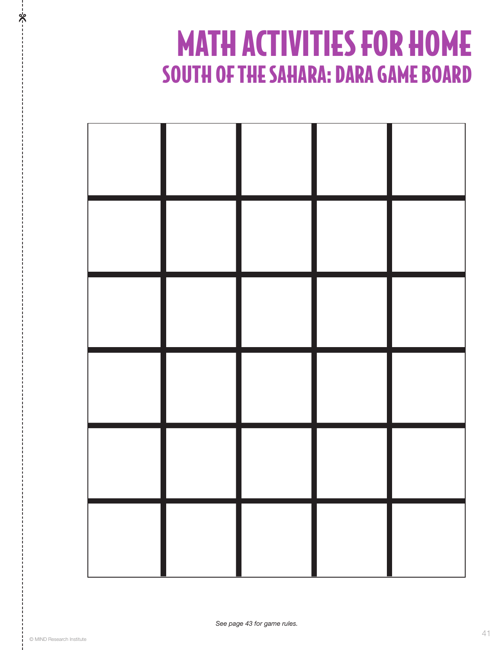# MATH ACTIVITIES FOR HOME SOUTH OF THE SAHARA: DARA GAME BOARD



%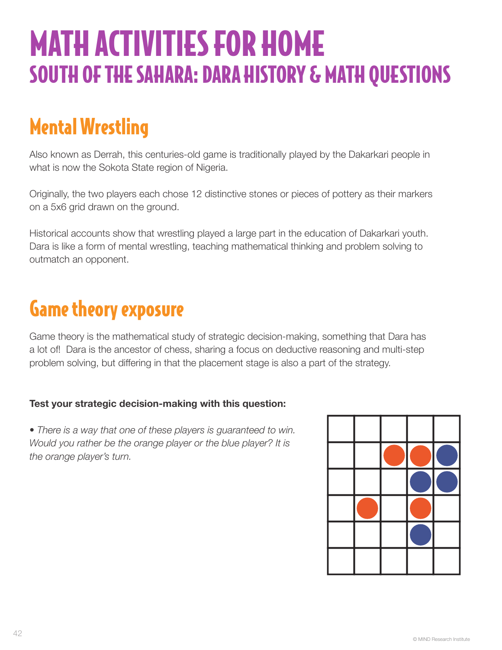# MATH ACTIVITIES FOR HOME SOUTH OF THE SAHARA: DARA HISTORY & MATH QUESTIONS

# Mental Wrestling

Also known as Derrah, this centuries-old game is traditionally played by the Dakarkari people in what is now the Sokota State region of Nigeria.

Originally, the two players each chose 12 distinctive stones or pieces of pottery as their markers on a 5x6 grid drawn on the ground.

Historical accounts show that wrestling played a large part in the education of Dakarkari youth. Dara is like a form of mental wrestling, teaching mathematical thinking and problem solving to outmatch an opponent.

# Game theory exposure

Game theory is the mathematical study of strategic decision-making, something that Dara has a lot of! Dara is the ancestor of chess, sharing a focus on deductive reasoning and multi-step problem solving, but differing in that the placement stage is also a part of the strategy.

### **Test your strategic decision-making with this question:**

• *There is a way that one of these players is guaranteed to win. Would you rather be the orange player or the blue player? It is the orange player's turn.*